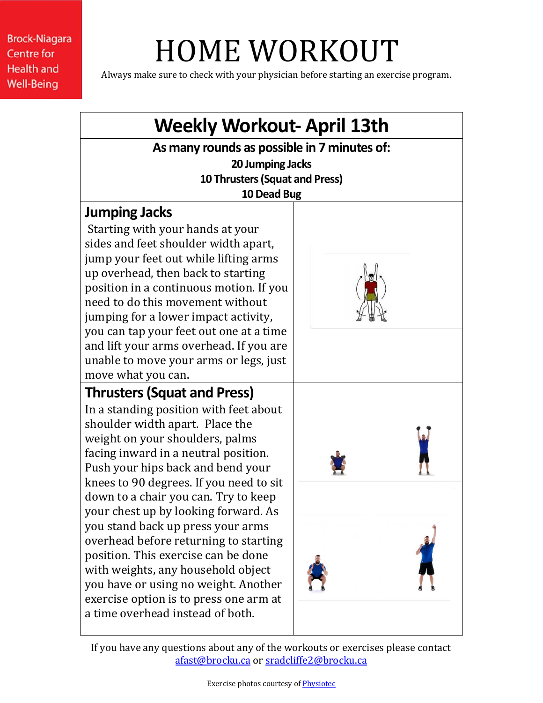# HOME WORKOUT

Always make sure to check with your physician before starting an exercise program.

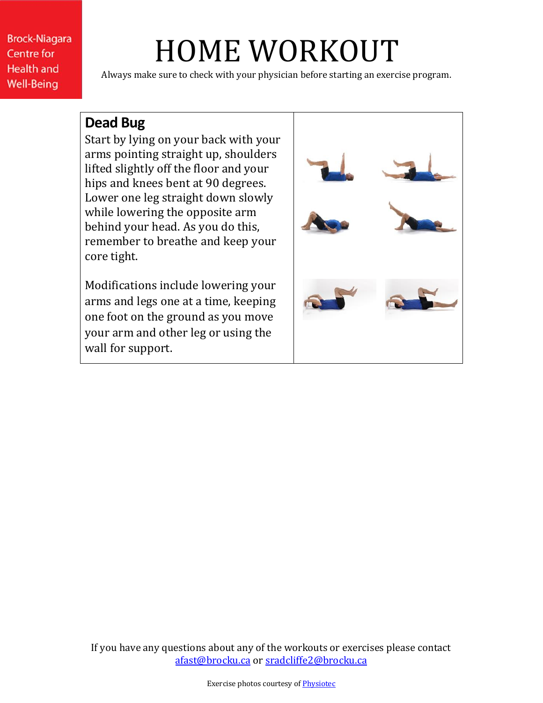# HOME WORKOUT

Always make sure to check with your physician before starting an exercise program.

#### **Dead Bug**

Start by lying on your back with your arms pointing straight up, shoulders lifted slightly off the floor and your hips and knees bent at 90 degrees. Lower one leg straight down slowly while lowering the opposite arm behind your head. As you do this, remember to breathe and keep your core tight.

Modifications include lowering your arms and legs one at a time, keeping one foot on the ground as you move your arm and other leg or using the wall for support.

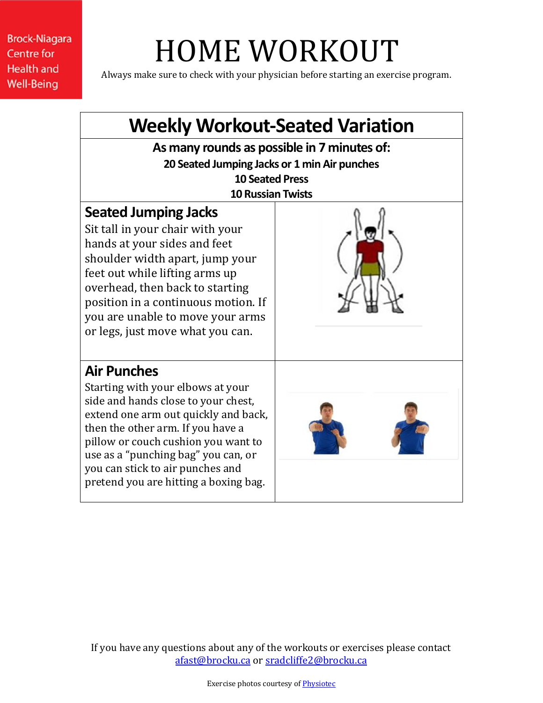# HOME WORKOUT

Always make sure to check with your physician before starting an exercise program.